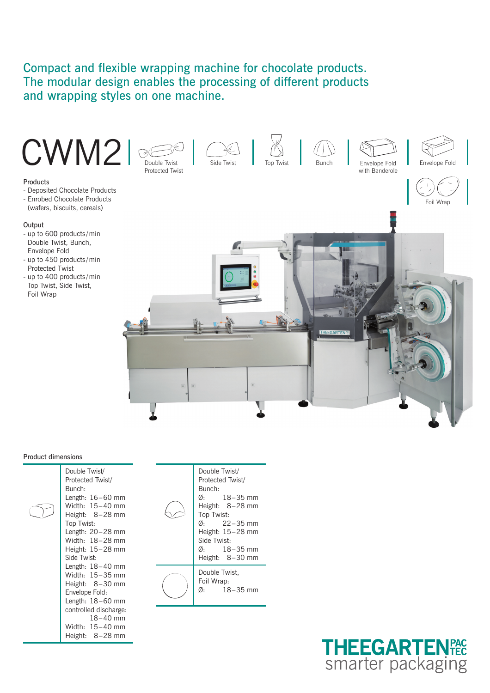# Compact and flexible wrapping machine for chocolate products. The modular design enables the processing of different products and wrapping styles on one machine.



# Product dimensions

| Double Twist/<br>Protected Twist/<br>Bunch: |  |
|---------------------------------------------|--|
| Length: $16-60$ mm                          |  |
| Width: $15-40$ mm                           |  |
| Height: 8-28 mm                             |  |
| Top Twist:                                  |  |
| Length: $20-28$ mm                          |  |
| Width: 18-28 mm                             |  |
| Height: 15-28 mm                            |  |
| Side Twist:                                 |  |
| Length: $18-40$ mm                          |  |
| Width: 15-35 mm                             |  |
| Height: 8-30 mm                             |  |
| Envelope Fold:                              |  |
| Length: $18-60$ mm                          |  |
| controlled discharge:                       |  |
| $18 - 40$ mm                                |  |
| Width: 15-40 mm                             |  |
| Height: 8-28 mm                             |  |

| Double Twist/<br>Protected Twist/<br>Bunch:<br>$\varnothing$ : 18–35 mm<br>Height: $8-28$ mm<br>Top Twist:<br>$\varnothing$ : 22 – 35 mm<br>Height: $15-28$ mm<br>Side Twist:<br>$\varnothing$ : 18–35 mm<br>Height: 8-30 mm |
|------------------------------------------------------------------------------------------------------------------------------------------------------------------------------------------------------------------------------|
| Double Twist,<br>Foil Wrap:<br>$\varnothing$ : 18 – 35 mm                                                                                                                                                                    |
|                                                                                                                                                                                                                              |